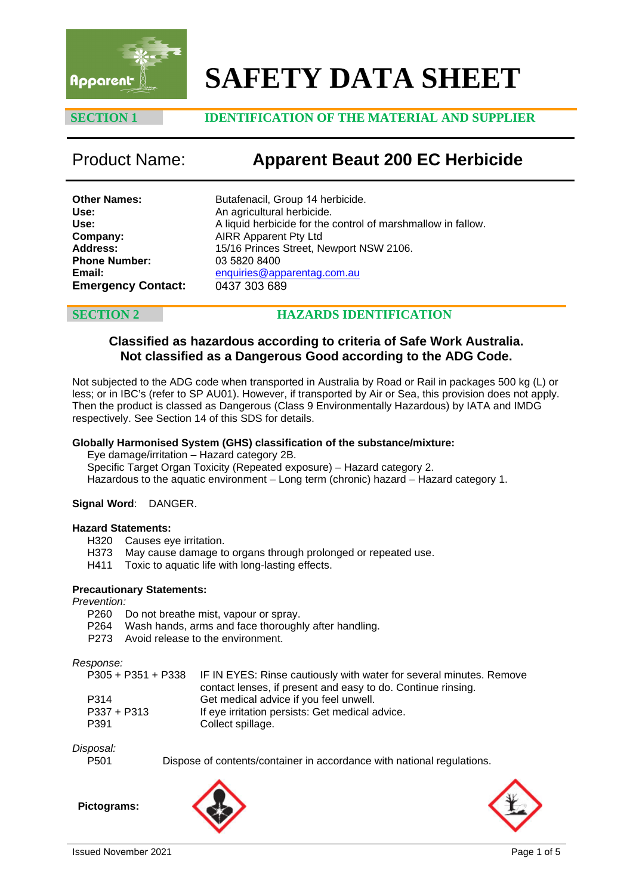

# **SAFETY DATA SHEET**

# **SECTION 1 IDENTIFICATION OF THE MATERIAL AND SUPPLIER**

# Product Name: **Apparent Beaut 200 EC Herbicide**

**Other Names: Use: Use: Company: Address: Phone Number: Email: Emergency Contact:** Butafenacil, Group 14 herbicide. An agricultural herbicide. A liquid herbicide for the control of marshmallow in fallow. AIRR Apparent Pty Ltd 15/16 Princes Street, Newport NSW 2106. 03 5820 8400 [enquiries@apparentag.com.au](mailto:enquiries@apparentag.com.au) 0437 303 689

# **SECTION 2 HAZARDS IDENTIFICATION**

# **Classified as hazardous according to criteria of Safe Work Australia. Not classified as a Dangerous Good according to the ADG Code.**

Not subjected to the ADG code when transported in Australia by Road or Rail in packages 500 kg (L) or less; or in IBC's (refer to SP AU01). However, if transported by Air or Sea, this provision does not apply. Then the product is classed as Dangerous (Class 9 Environmentally Hazardous) by IATA and IMDG respectively. See Section 14 of this SDS for details.

# **Globally Harmonised System (GHS) classification of the substance/mixture:**

Eye damage/irritation – Hazard category 2B. Specific Target Organ Toxicity (Repeated exposure) – Hazard category 2. Hazardous to the aquatic environment – Long term (chronic) hazard – Hazard category 1.

# **Signal Word**: DANGER.

### **Hazard Statements:**

- H320 Causes eye irritation.<br>H373 May cause damage to
- May cause damage to organs through prolonged or repeated use.
- H411 Toxic to aquatic life with long-lasting effects.

# **Precautionary Statements:**

*Prevention:*

- P260 Do not breathe mist, vapour or spray.<br>P264 Wash hands, arms and face thorough
- Wash hands, arms and face thoroughly after handling.
- P273 Avoid release to the environment.

### *Response:*

|             | P305 + P351 + P338 IF IN EYES: Rinse cautiously with water for several minutes. Remove<br>contact lenses, if present and easy to do. Continue rinsing. |
|-------------|--------------------------------------------------------------------------------------------------------------------------------------------------------|
| P314        | Get medical advice if you feel unwell.                                                                                                                 |
| P337 + P313 | If eye irritation persists: Get medical advice.                                                                                                        |
| P391        | Collect spillage.                                                                                                                                      |

*Disposal:*

Dispose of contents/container in accordance with national regulations.

**Pictograms:** 



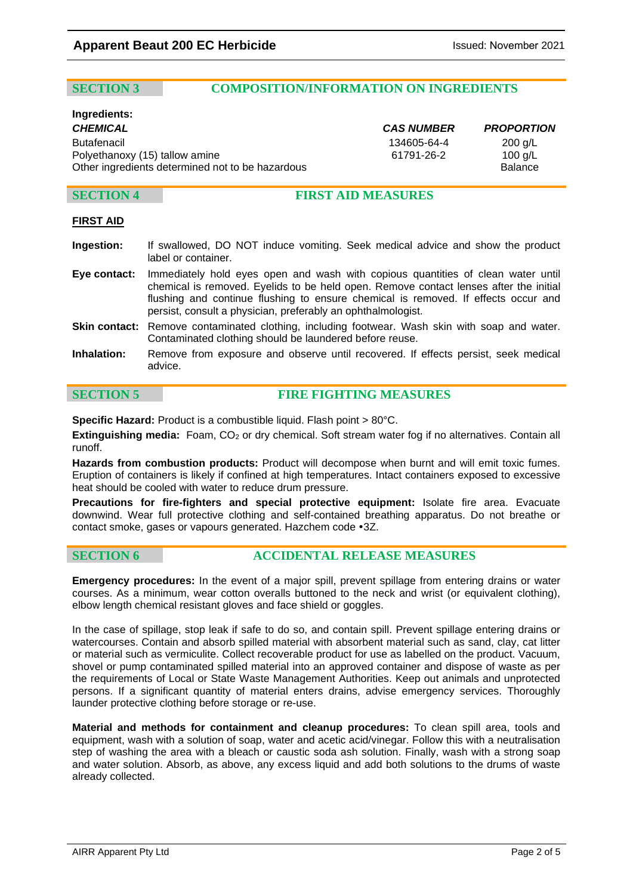# **SECTION 3 COMPOSITION/INFORMATION ON INGREDIENTS**

# **Ingredients:**

*CHEMICAL CAS NUMBER PROPORTION* Butafenacil 134605-64-4 200 g/L Polyethanoxy (15) tallow amine <br>Other ingredients determined not to be hazardous **61791-26-2** Balance Other ingredients determined not to be hazardous

# **SECTION 4 FIRST AID MEASURES**

# **FIRST AID**

- **Ingestion:** If swallowed, DO NOT induce vomiting. Seek medical advice and show the product label or container.
- **Eye contact:** Immediately hold eyes open and wash with copious quantities of clean water until chemical is removed. Eyelids to be held open. Remove contact lenses after the initial flushing and continue flushing to ensure chemical is removed. If effects occur and persist, consult a physician, preferably an ophthalmologist.
- **Skin contact:** Remove contaminated clothing, including footwear. Wash skin with soap and water. Contaminated clothing should be laundered before reuse.
- **Inhalation:** Remove from exposure and observe until recovered. If effects persist, seek medical advice.

**SECTION 5 FIRE FIGHTING MEASURES**

**Specific Hazard:** Product is a combustible liquid. Flash point > 80°C.

**Extinguishing media:** Foam, CO2 or dry chemical. Soft stream water fog if no alternatives. Contain all runoff.

**Hazards from combustion products:** Product will decompose when burnt and will emit toxic fumes. Eruption of containers is likely if confined at high temperatures. Intact containers exposed to excessive heat should be cooled with water to reduce drum pressure.

**Precautions for fire-fighters and special protective equipment:** Isolate fire area. Evacuate downwind. Wear full protective clothing and self-contained breathing apparatus. Do not breathe or contact smoke, gases or vapours generated. Hazchem code •3Z.

# **SECTION 6 ACCIDENTAL RELEASE MEASURES**

**Emergency procedures:** In the event of a major spill, prevent spillage from entering drains or water courses. As a minimum, wear cotton overalls buttoned to the neck and wrist (or equivalent clothing), elbow length chemical resistant gloves and face shield or goggles.

In the case of spillage, stop leak if safe to do so, and contain spill. Prevent spillage entering drains or watercourses. Contain and absorb spilled material with absorbent material such as sand, clay, cat litter or material such as vermiculite. Collect recoverable product for use as labelled on the product. Vacuum, shovel or pump contaminated spilled material into an approved container and dispose of waste as per the requirements of Local or State Waste Management Authorities. Keep out animals and unprotected persons. If a significant quantity of material enters drains, advise emergency services. Thoroughly launder protective clothing before storage or re-use.

**Material and methods for containment and cleanup procedures:** To clean spill area, tools and equipment, wash with a solution of soap, water and acetic acid/vinegar. Follow this with a neutralisation step of washing the area with a bleach or caustic soda ash solution. Finally, wash with a strong soap and water solution. Absorb, as above, any excess liquid and add both solutions to the drums of waste already collected.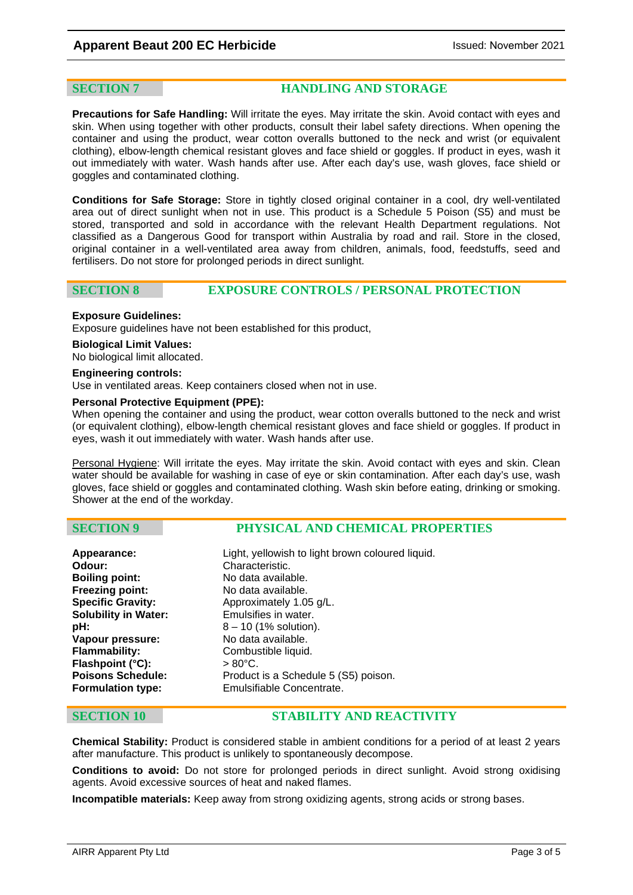**SECTION 7 HANDLING AND STORAGE**

**Precautions for Safe Handling:** Will irritate the eyes. May irritate the skin. Avoid contact with eyes and skin. When using together with other products, consult their label safety directions. When opening the container and using the product, wear cotton overalls buttoned to the neck and wrist (or equivalent clothing), elbow-length chemical resistant gloves and face shield or goggles. If product in eyes, wash it out immediately with water. Wash hands after use. After each day's use, wash gloves, face shield or goggles and contaminated clothing.

**Conditions for Safe Storage:** Store in tightly closed original container in a cool, dry well-ventilated area out of direct sunlight when not in use. This product is a Schedule 5 Poison (S5) and must be stored, transported and sold in accordance with the relevant Health Department regulations. Not classified as a Dangerous Good for transport within Australia by road and rail. Store in the closed, original container in a well-ventilated area away from children, animals, food, feedstuffs, seed and fertilisers. Do not store for prolonged periods in direct sunlight.

# **SECTION 8 EXPOSURE CONTROLS / PERSONAL PROTECTION**

### **Exposure Guidelines:**

Exposure guidelines have not been established for this product,

### **Biological Limit Values:**

No biological limit allocated.

### **Engineering controls:**

Use in ventilated areas. Keep containers closed when not in use.

### **Personal Protective Equipment (PPE):**

When opening the container and using the product, wear cotton overalls buttoned to the neck and wrist (or equivalent clothing), elbow-length chemical resistant gloves and face shield or goggles. If product in eyes, wash it out immediately with water. Wash hands after use.

Personal Hygiene: Will irritate the eyes. May irritate the skin. Avoid contact with eyes and skin. Clean water should be available for washing in case of eye or skin contamination. After each day's use, wash gloves, face shield or goggles and contaminated clothing. Wash skin before eating, drinking or smoking. Shower at the end of the workday.

# **SECTION 9 PHYSICAL AND CHEMICAL PROPERTIES**

| Appearance:                 | Light, yellowish to light brown coloured liquid. |
|-----------------------------|--------------------------------------------------|
| Odour:                      | Characteristic.                                  |
| <b>Boiling point:</b>       | No data available.                               |
| Freezing point:             | No data available.                               |
| <b>Specific Gravity:</b>    | Approximately 1.05 g/L.                          |
| <b>Solubility in Water:</b> | Emulsifies in water.                             |
| pH:                         | $8 - 10$ (1% solution).                          |
| Vapour pressure:            | No data available.                               |
| <b>Flammability:</b>        | Combustible liquid.                              |
| Flashpoint (°C):            | $>80^{\circ}$ C.                                 |
| <b>Poisons Schedule:</b>    | Product is a Schedule 5 (S5) poison.             |
| <b>Formulation type:</b>    | Emulsifiable Concentrate.                        |

# **SECTION 10 STABILITY AND REACTIVITY**

**Chemical Stability:** Product is considered stable in ambient conditions for a period of at least 2 years after manufacture. This product is unlikely to spontaneously decompose.

**Conditions to avoid:** Do not store for prolonged periods in direct sunlight. Avoid strong oxidising agents. Avoid excessive sources of heat and naked flames.

**Incompatible materials:** Keep away from strong oxidizing agents, strong acids or strong bases.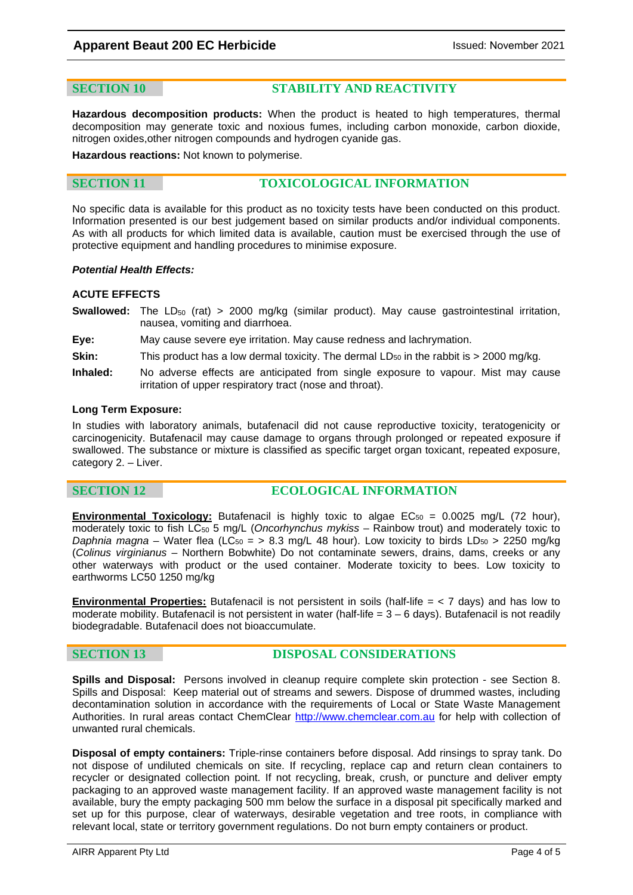# **SECTION 10 STABILITY AND REACTIVITY**

**Hazardous decomposition products:** When the product is heated to high temperatures, thermal decomposition may generate toxic and noxious fumes, including carbon monoxide, carbon dioxide, nitrogen oxides,other nitrogen compounds and hydrogen cyanide gas.

**Hazardous reactions:** Not known to polymerise.

# **SECTION 11 TOXICOLOGICAL INFORMATION**

No specific data is available for this product as no toxicity tests have been conducted on this product. Information presented is our best judgement based on similar products and/or individual components. As with all products for which limited data is available, caution must be exercised through the use of protective equipment and handling procedures to minimise exposure.

### *Potential Health Effects:*

### **ACUTE EFFECTS**

- **Swallowed:** The LD<sub>50</sub> (rat) > 2000 mg/kg (similar product). May cause gastrointestinal irritation, nausea, vomiting and diarrhoea.
- **Eye:** May cause severe eye irritation. May cause redness and lachrymation.
- **Skin:** This product has a low dermal toxicity. The dermal LD<sub>50</sub> in the rabbit is > 2000 mg/kg.
- **Inhaled:** No adverse effects are anticipated from single exposure to vapour. Mist may cause irritation of upper respiratory tract (nose and throat).

### **Long Term Exposure:**

In studies with laboratory animals, butafenacil did not cause reproductive toxicity, teratogenicity or carcinogenicity. Butafenacil may cause damage to organs through prolonged or repeated exposure if swallowed. The substance or mixture is classified as specific target organ toxicant, repeated exposure, category 2. – Liver.

# **SECTION 12 ECOLOGICAL INFORMATION**

**Environmental Toxicology:** Butafenacil is highly toxic to algae EC<sub>50</sub> = 0.0025 mg/L (72 hour), moderately toxic to fish LC50 5 mg/L (*Oncorhynchus mykiss* – Rainbow trout) and moderately toxic to *Daphnia magna* – Water flea (LC<sub>50</sub> = > 8.3 mg/L 48 hour). Low toxicity to birds LD<sub>50</sub> > 2250 mg/kg (*Colinus virginianus* – Northern Bobwhite) Do not contaminate sewers, drains, dams, creeks or any other waterways with product or the used container. Moderate toxicity to bees. Low toxicity to earthworms LC50 1250 mg/kg

**Environmental Properties:** Butafenacil is not persistent in soils (half-life = < 7 days) and has low to moderate mobility. Butafenacil is not persistent in water (half-life  $= 3 - 6$  days). Butafenacil is not readily biodegradable. Butafenacil does not bioaccumulate.

# **SECTION 13 DISPOSAL CONSIDERATIONS**

**Spills and Disposal:** Persons involved in cleanup require complete skin protection - see Section 8. Spills and Disposal: Keep material out of streams and sewers. Dispose of drummed wastes, including decontamination solution in accordance with the requirements of Local or State Waste Management Authorities. In rural areas contact ChemClear [http://www.chemclear.com.au](http://www.chemclear.com.au/) for help with collection of unwanted rural chemicals.

**Disposal of empty containers:** Triple-rinse containers before disposal. Add rinsings to spray tank. Do not dispose of undiluted chemicals on site. If recycling, replace cap and return clean containers to recycler or designated collection point. If not recycling, break, crush, or puncture and deliver empty packaging to an approved waste management facility. If an approved waste management facility is not available, bury the empty packaging 500 mm below the surface in a disposal pit specifically marked and set up for this purpose, clear of waterways, desirable vegetation and tree roots, in compliance with relevant local, state or territory government regulations. Do not burn empty containers or product.